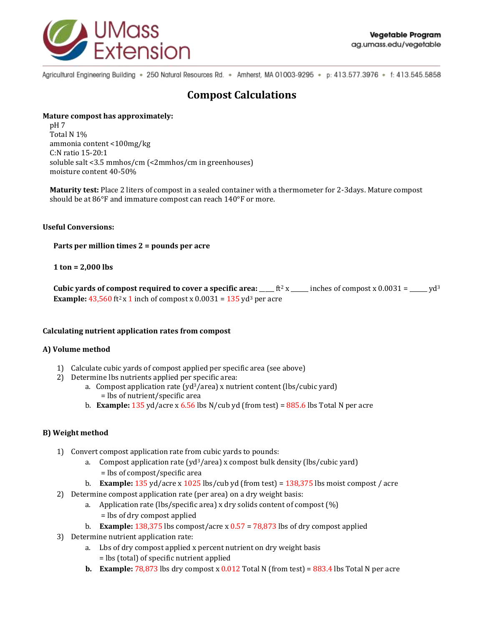

Agricultural Engineering Building . 250 Natural Resources Rd. . Amherst, MA 01003-9295 . p: 413.577.3976 . f: 413.545.5858

# **Compost Calculations**

#### **Mature compost has approximately:**

pH 7 Total N 1% ammonia content <100mg/kg C:N ratio 15-20:1 soluble salt <3.5 mmhos/cm (<2mmhos/cm in greenhouses) moisture content 40-50%

**Maturity test:** Place 2 liters of compost in a sealed container with a thermometer for 2-3days. Mature compost should be at 86°F and immature compost can reach 140°F or more.

#### **Useful Conversions:**

**Parts per million times 2 = pounds per acre**

### **1 ton = 2,000 lbs**

**Cubic yards of compost required to cover a specific area:** \_\_\_\_ ft<sup>2</sup> x \_\_\_\_\_ inches of compost x  $0.0031 =$  \_\_\_\_ yd<sup>3</sup> **Example:** 43,560 ft<sup>2</sup> x 1 inch of compost x  $0.0031 = 135$  yd<sup>3</sup> per acre

#### **Calculating nutrient application rates from compost**

#### **A) Volume method**

- 1) Calculate cubic yards of compost applied per specific area (see above)
- 2) Determine lbs nutrients applied per specific area:
	- a. Compost application rate ( $y d^3/$ area) x nutrient content (lbs/cubic yard) = lbs of nutrient/specific area
	- b. **Example:** 135 yd/acre x 6.56 lbs N/cub yd (from test) = 885.6 lbs Total N per acre

## **B) Weight method**

- 1) Convert compost application rate from cubic yards to pounds:
	- a. Compost application rate ( $yd^3/area$ ) x compost bulk density (lbs/cubic yard) = lbs of compost/specific area
	- b. **Example:** 135 yd/acre x 1025 lbs/cub yd (from test) = 138,375 lbs moist compost / acre
- 2) Determine compost application rate (per area) on a dry weight basis:
	- a. Application rate (lbs/specific area) x dry solids content of compost (%)
		- = lbs of dry compost applied
	- b. **Example:** 138,375 lbs compost/acre x 0.57 = 78,873 lbs of dry compost applied
- 3) Determine nutrient application rate:
	- a. Lbs of dry compost applied x percent nutrient on dry weight basis = lbs (total) of specific nutrient applied
	- **b. Example:**  $78,873$  lbs dry compost x  $0.012$  Total N (from test) =  $883.4$  lbs Total N per acre